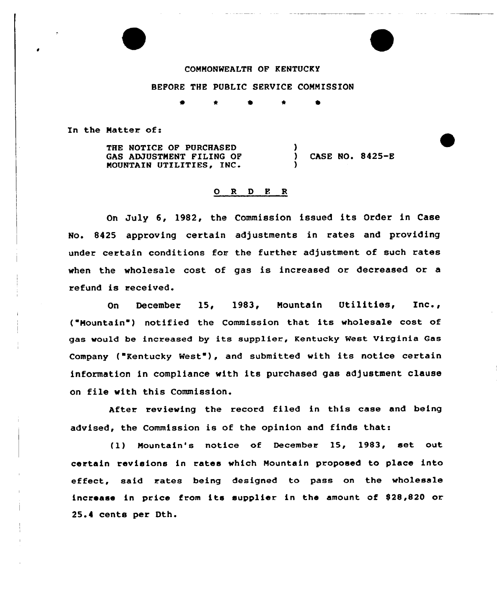## COMMONWEALTH OF KENTUCKY

## BEFORE THE PUBLIC SERVICE COMMISSION

)

)

In the Matter of:

THE NOTICE OF PURCHASED GAS ADJUSTMENT FILING OF MOUNTAIN UTILITIES, INC

) CASE NO. 8425-E

## 0 R <sup>D</sup> E <sup>R</sup>

On July 6, 1982, the Commission issued its Order in Case No. 8425 approving certain adjustments in rates and providing under certain conditions fos the further adjustment of such rates when the wholesale cost of gas is increased or decreased or a refund is received.

On December 15, 1983, Mountain Utilities, Inc., ("Mountain") notified the Commission that its wholesale cost of gas would be increased by its supplier, Kentucky West Virginia Gas Company ("Rentucky West"), and submitted with its notice certain information in compliance with its purchased gas adjustment clause on file with this Commission.

After reviewing the record filed in this case and being advised, the Commission is of the opinion and finds that:

(1) Mountain's notice of December 15, 1983, set out certain revisions in rates which Mountain proposed to place into effect, said rates being designed to pass on the wholesale increase in price from its supplier in the amount of S28 820 or 25.4 cents per Dth.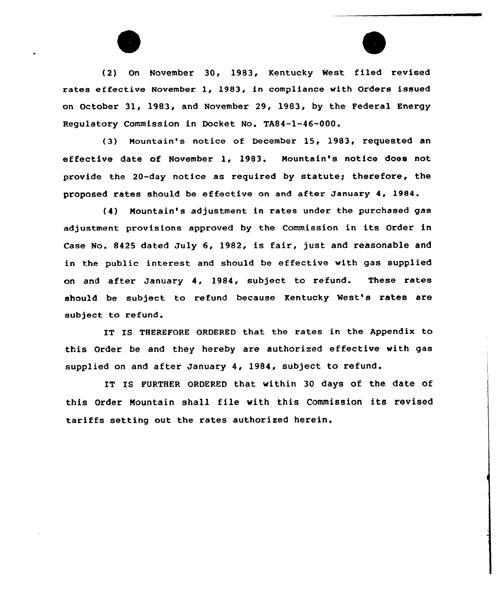



(2) On November 30, 1983, Kentucky West filed revised rates effective November 1, 1983, in compliance with Orders issued on October 31, 1983, and November 29, 1983, by the Federal Energy Regulatory Commission in Docket No. TA84-1-46-000.

(3) Mountain's notice of December 15, 1983, requested an effective date of November 1, 1983. Mountain's notice does not provide the 20-day notice as required by statute; therefore, the proposed rates should be effective on and after January 4, 1984.

(4) Mountain's adjustment in rates under the purchased gas adjustment provisions approved by the Commission in its Order in Case No. 8425 dated July 6, 1982, is fair, just and reasonable and in the public interest and should be effective with gas supplied on and after January 4, 1984, subject to refund. These rates should be subject to refund because Kentucky West's rates are subject to refund.

IT IS THEREFORE ORDERED that the rates in the Appendix to this Order be and they hereby are authorized effective with gas supplied on and after January 4, 1984, subject to refund.

IT IS FURTHER ORDERED that within 30 days of the date of this Order Mountain shall file with this Commission its revised tariffs setting out the rates authorized herein.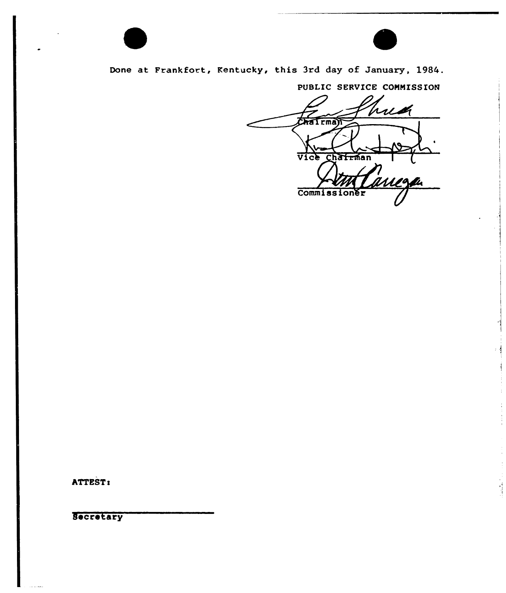

Done at Frankfort, Kentucky, this 3rd day of January, 1984.

PUBLIC SERVICE COMMISSION

rug  $FMR$ Vice Chairman .<br>Mari Commissioner

ATTEST:

Secretary